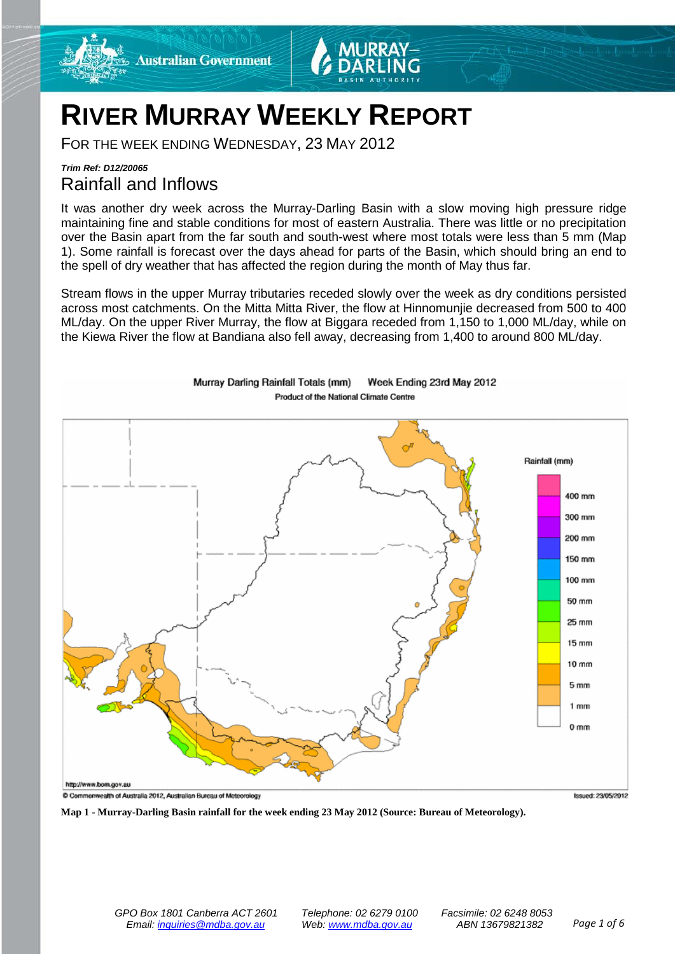

# **RIVER MURRAY WEEKLY REPORT**

FOR THE WEEK ENDING WEDNESDAY, 23 MAY 2012

# *Trim Ref: D12/20065* Rainfall and Inflows

It was another dry week across the Murray-Darling Basin with a slow moving high pressure ridge maintaining fine and stable conditions for most of eastern Australia. There was little or no precipitation over the Basin apart from the far south and south-west where most totals were less than 5 mm (Map 1). Some rainfall is forecast over the days ahead for parts of the Basin, which should bring an end to the spell of dry weather that has affected the region during the month of May thus far.

Stream flows in the upper Murray tributaries receded slowly over the week as dry conditions persisted across most catchments. On the Mitta Mitta River, the flow at Hinnomunjie decreased from 500 to 400 ML/day. On the upper River Murray, the flow at Biggara receded from 1,150 to 1,000 ML/day, while on the Kiewa River the flow at Bandiana also fell away, decreasing from 1,400 to around 800 ML/day.



Murray Darling Rainfall Totals (mm) Week Ending 23rd May 2012 Product of the National Climate Centre

**Map 1 - Murray-Darling Basin rainfall for the week ending 23 May 2012 (Source: Bureau of Meteorology).**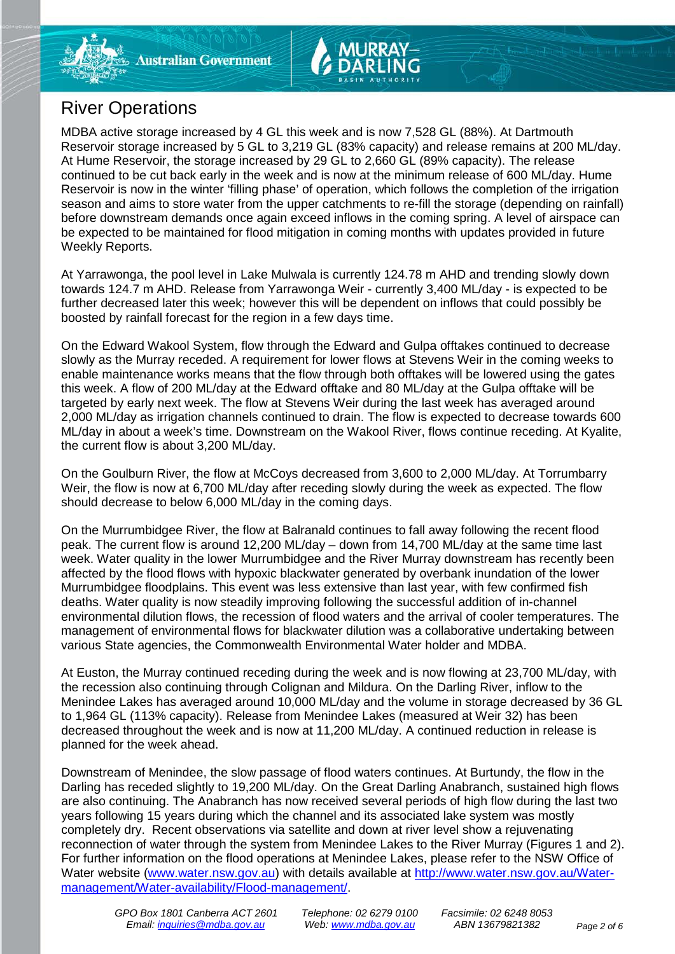

MDBA active storage increased by 4 GL this week and is now 7,528 GL (88%). At Dartmouth Reservoir storage increased by 5 GL to 3,219 GL (83% capacity) and release remains at 200 ML/day. At Hume Reservoir, the storage increased by 29 GL to 2,660 GL (89% capacity). The release continued to be cut back early in the week and is now at the minimum release of 600 ML/day. Hume Reservoir is now in the winter 'filling phase' of operation, which follows the completion of the irrigation season and aims to store water from the upper catchments to re-fill the storage (depending on rainfall) before downstream demands once again exceed inflows in the coming spring. A level of airspace can be expected to be maintained for flood mitigation in coming months with updates provided in future Weekly Reports.

At Yarrawonga, the pool level in Lake Mulwala is currently 124.78 m AHD and trending slowly down towards 124.7 m AHD. Release from Yarrawonga Weir - currently 3,400 ML/day - is expected to be further decreased later this week; however this will be dependent on inflows that could possibly be boosted by rainfall forecast for the region in a few days time.

On the Edward Wakool System, flow through the Edward and Gulpa offtakes continued to decrease slowly as the Murray receded. A requirement for lower flows at Stevens Weir in the coming weeks to enable maintenance works means that the flow through both offtakes will be lowered using the gates this week. A flow of 200 ML/day at the Edward offtake and 80 ML/day at the Gulpa offtake will be targeted by early next week. The flow at Stevens Weir during the last week has averaged around 2,000 ML/day as irrigation channels continued to drain. The flow is expected to decrease towards 600 ML/day in about a week's time. Downstream on the Wakool River, flows continue receding. At Kyalite, the current flow is about 3,200 ML/day.

On the Goulburn River, the flow at McCoys decreased from 3,600 to 2,000 ML/day. At Torrumbarry Weir, the flow is now at 6,700 ML/day after receding slowly during the week as expected. The flow should decrease to below 6,000 ML/day in the coming days.

On the Murrumbidgee River, the flow at Balranald continues to fall away following the recent flood peak. The current flow is around 12,200 ML/day – down from 14,700 ML/day at the same time last week. Water quality in the lower Murrumbidgee and the River Murray downstream has recently been affected by the flood flows with hypoxic blackwater generated by overbank inundation of the lower Murrumbidgee floodplains. This event was less extensive than last year, with few confirmed fish deaths. Water quality is now steadily improving following the successful addition of in-channel environmental dilution flows, the recession of flood waters and the arrival of cooler temperatures. The management of environmental flows for blackwater dilution was a collaborative undertaking between various State agencies, the Commonwealth Environmental Water holder and MDBA.

At Euston, the Murray continued receding during the week and is now flowing at 23,700 ML/day, with the recession also continuing through Colignan and Mildura. On the Darling River, inflow to the Menindee Lakes has averaged around 10,000 ML/day and the volume in storage decreased by 36 GL to 1,964 GL (113% capacity). Release from Menindee Lakes (measured at Weir 32) has been decreased throughout the week and is now at 11,200 ML/day. A continued reduction in release is planned for the week ahead.

Downstream of Menindee, the slow passage of flood waters continues. At Burtundy, the flow in the Darling has receded slightly to 19,200 ML/day. On the Great Darling Anabranch, sustained high flows are also continuing. The Anabranch has now received several periods of high flow during the last two years following 15 years during which the channel and its associated lake system was mostly completely dry. Recent observations via satellite and down at river level show a rejuvenating reconnection of water through the system from Menindee Lakes to the River Murray (Figures 1 and 2). For further information on the flood operations at Menindee Lakes, please refer to the NSW Office of Water website [\(www.water.nsw.gov.au\)](http://www.water.nsw.gov.au/) with details available at [http://www.water.nsw.gov.au/Water](http://www.water.nsw.gov.au/Water-management/Water-availability/Flood-management/)[management/Water-availability/Flood-management/.](http://www.water.nsw.gov.au/Water-management/Water-availability/Flood-management/)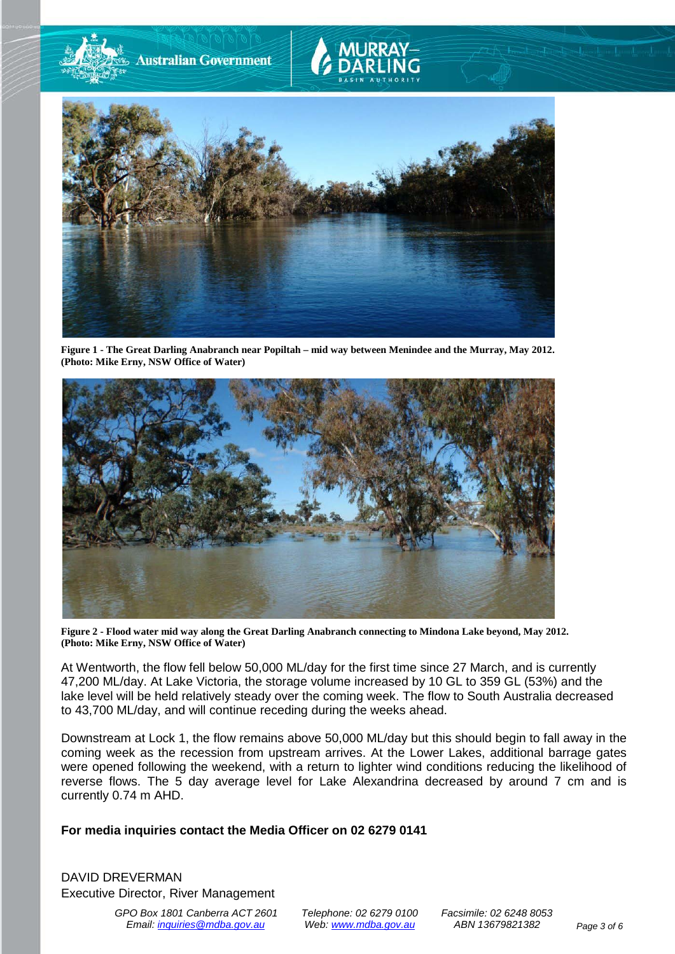

**Figure 1 - The Great Darling Anabranch near Popiltah – mid way between Menindee and the Murray, May 2012. (Photo: Mike Erny, NSW Office of Water)**



**Figure 2 - Flood water mid way along the Great Darling Anabranch connecting to Mindona Lake beyond, May 2012. (Photo: Mike Erny, NSW Office of Water)**

At Wentworth, the flow fell below 50,000 ML/day for the first time since 27 March, and is currently 47,200 ML/day. At Lake Victoria, the storage volume increased by 10 GL to 359 GL (53%) and the lake level will be held relatively steady over the coming week. The flow to South Australia decreased to 43,700 ML/day, and will continue receding during the weeks ahead.

Downstream at Lock 1, the flow remains above 50,000 ML/day but this should begin to fall away in the coming week as the recession from upstream arrives. At the Lower Lakes, additional barrage gates were opened following the weekend, with a return to lighter wind conditions reducing the likelihood of reverse flows. The 5 day average level for Lake Alexandrina decreased by around 7 cm and is currently 0.74 m AHD.

# **For media inquiries contact the Media Officer on 02 6279 0141**

DAVID DREVERMAN Executive Director, River Management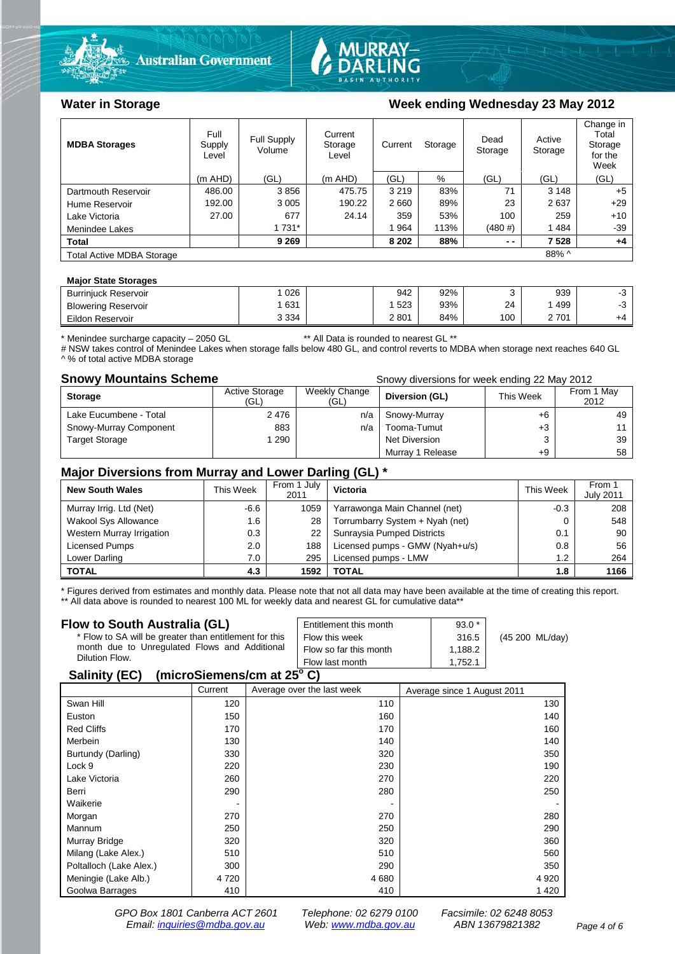



# Water in Storage **Water in Storage Week ending Wednesday 23 May 2012**

| <b>MDBA Storages</b>             | Full<br>Supply<br>Level | <b>Full Supply</b><br>Volume | Current<br>Storage<br>Level | Current | Storage | Dead<br>Storage | Active<br>Storage | Change in<br>Total<br>Storage<br>for the<br>Week |
|----------------------------------|-------------------------|------------------------------|-----------------------------|---------|---------|-----------------|-------------------|--------------------------------------------------|
|                                  | $(m$ AHD)               | (GL)                         | (m AHD)                     | (GL)    | %       | (GL)            | (GL)              | (GL)                                             |
| Dartmouth Reservoir              | 486.00                  | 3856                         | 475.75                      | 3 2 1 9 | 83%     | 71              | 3 1 4 8           | $+5$                                             |
| Hume Reservoir                   | 192.00                  | 3 0 0 5                      | 190.22                      | 2660    | 89%     | 23              | 2637              | $+29$                                            |
| Lake Victoria                    | 27.00                   | 677                          | 24.14                       | 359     | 53%     | 100             | 259               | $+10$                                            |
| Menindee Lakes                   |                         | 1 7 3 1 *                    |                             | 964     | 113%    | $(480 \#)$      | 1484              | $-39$                                            |
| <b>Total</b>                     |                         | 9 2 6 9                      |                             | 8 2 0 2 | 88%     | $ -$            | 7528              | $+4$                                             |
| <b>Total Active MDBA Storage</b> |                         |                              |                             |         |         |                 | 88% ^             |                                                  |

#### **Major State Storages**

| <b>Burrinjuck Reservoir</b> | 026     | 942  | 92% |     | 939 | v  |
|-----------------------------|---------|------|-----|-----|-----|----|
| <b>Blowering Reservoir</b>  | 631     | 523  | 93% | 24  | 499 | ັ  |
| Eildon Reservoir            | 3 3 3 4 | 2801 | 84% | 100 | 701 | +4 |

\* Menindee surcharge capacity – 2050 GL \*\* All Data is rounded to nearest GL \*\*

# NSW takes control of Menindee Lakes when storage falls below 480 GL, and control reverts to MDBA when storage next reaches 640 GL ^ % of total active MDBA storage

**Snowy Mountains Scheme Snowy diversions for week ending 22 May 2012** 

| <b>Storage</b>         | <b>Active Storage</b><br>(GL) | Weekly Change<br>(GL) | Diversion (GL)   | This Week | From 1 May<br>2012 |
|------------------------|-------------------------------|-----------------------|------------------|-----------|--------------------|
| Lake Eucumbene - Total | 2476                          | n/a                   | Snowy-Murray     | +6        | 49                 |
| Snowy-Murray Component | 883                           | n/a                   | Tooma-Tumut      | +3        |                    |
| <b>Target Storage</b>  | 290                           |                       | Net Diversion    |           | 39                 |
|                        |                               |                       | Murray 1 Release | +9        | 58                 |

## **Major Diversions from Murray and Lower Darling (GL) \***

| <b>New South Wales</b>    | This Week | From 1 July<br>2011 | Victoria                        | This Week | From 1<br><b>July 2011</b> |
|---------------------------|-----------|---------------------|---------------------------------|-----------|----------------------------|
| Murray Irrig. Ltd (Net)   | $-6.6$    | 1059                | Yarrawonga Main Channel (net)   | $-0.3$    | 208                        |
| Wakool Sys Allowance      | 1.6       | 28                  | Torrumbarry System + Nyah (net) |           | 548                        |
| Western Murray Irrigation | 0.3       | 22                  | Sunraysia Pumped Districts      | 0.1       | 90                         |
| Licensed Pumps            | 2.0       | 188                 | Licensed pumps - GMW (Nyah+u/s) | 0.8       | 56                         |
| Lower Darling             | 7.0       | 295                 | Licensed pumps - LMW            | 1.2       | 264                        |
| <b>TOTAL</b>              | 4.3       | 1592                | TOTAL                           | 1.8       | 1166                       |

\* Figures derived from estimates and monthly data. Please note that not all data may have been available at the time of creating this report. \*\* All data above is rounded to nearest 100 ML for weekly data and nearest GL for cumulative data\*\*

#### **Flow to South Australia (GL)**

| Flow to South Australia (GL)                              | Entitlement this month | $93.0*$ |                 |  |  |  |
|-----------------------------------------------------------|------------------------|---------|-----------------|--|--|--|
| * Flow to SA will be greater than entitlement for this    | Flow this week         | 316.5   | (45 200 ML/day) |  |  |  |
| month due to Unregulated Flows and Additional             | Flow so far this month | 1.188.2 |                 |  |  |  |
| Dilution Flow.                                            | Flow last month        | 1.752.1 |                 |  |  |  |
| $\mathbf{A}$ , $\mathbf{B}$ , $\mathbf{A}$ , $\mathbf{B}$ |                        |         |                 |  |  |  |

# **Salinity (EC)** (microSiemens/cm at  $25^{\circ}$  C)

| . .                     | Current | Average over the last week | Average since 1 August 2011 |
|-------------------------|---------|----------------------------|-----------------------------|
| Swan Hill               | 120     | 110                        | 130                         |
| Euston                  | 150     | 160                        | 140                         |
| <b>Red Cliffs</b>       | 170     | 170                        | 160                         |
| Merbein                 | 130     | 140                        | 140                         |
| Burtundy (Darling)      | 330     | 320                        | 350                         |
| Lock 9                  | 220     | 230                        | 190                         |
| Lake Victoria           | 260     | 270                        | 220                         |
| Berri                   | 290     | 280                        | 250                         |
| Waikerie                |         |                            |                             |
| Morgan                  | 270     | 270                        | 280                         |
| Mannum                  | 250     | 250                        | 290                         |
| Murray Bridge           | 320     | 320                        | 360                         |
| Milang (Lake Alex.)     | 510     | 510                        | 560                         |
| Poltalloch (Lake Alex.) | 300     | 290                        | 350                         |
| Meningie (Lake Alb.)    | 4 7 2 0 | 4680                       | 4 9 20                      |
| Goolwa Barrages         | 410     | 410                        | 1420                        |

*GPO Box 1801 Canberra ACT 2601 Telephone: 02 6279 0100 Facsimile: 02 6248 8053 Email: [inquiries@mdba.gov.au](mailto:inquiries@mdba.gov.au) Web: [www.mdba.gov.au](http://www.mdba.gov.au/) ABN 13679821382 Page 4 of 6*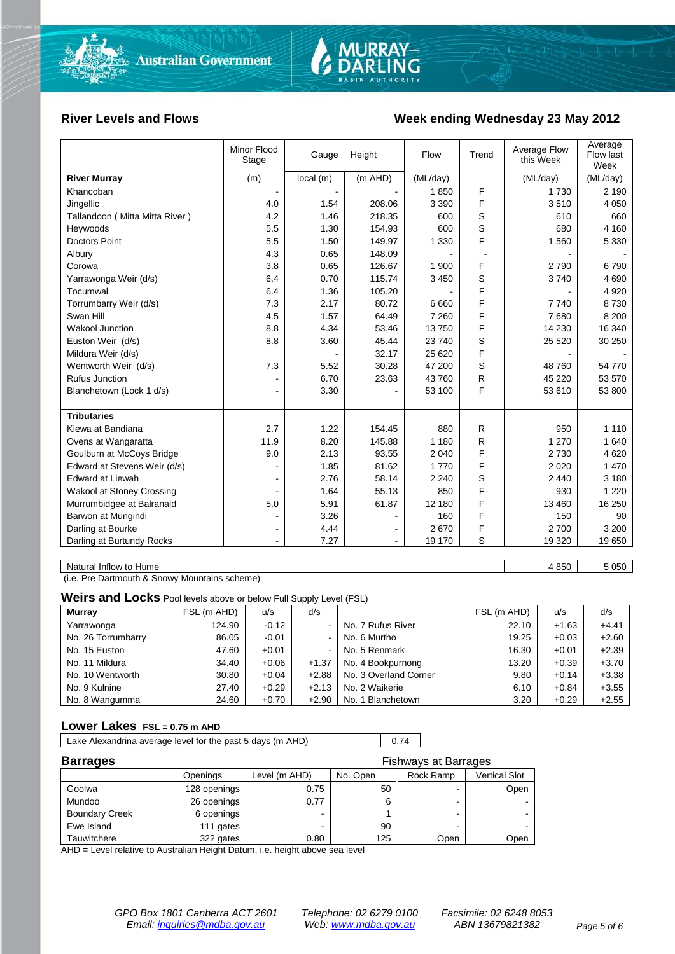

### **River Levels and Flows Week ending Wednesday 23 May 2012**

|                                | Minor Flood<br>Stage | Gauge    | Height         | Flow     | Trend          | Average Flow<br>this Week | Average<br>Flow last<br>Week |
|--------------------------------|----------------------|----------|----------------|----------|----------------|---------------------------|------------------------------|
| <b>River Murray</b>            | (m)                  | local(m) | (m AHD)        | (ML/day) |                | (ML/day)                  | (ML/day)                     |
| Khancoban                      |                      |          |                | 1850     | F              | 1 7 3 0                   | 2 1 9 0                      |
| Jingellic                      | 4.0                  | 1.54     | 208.06         | 3 3 9 0  | F              | 3510                      | 4 0 5 0                      |
| Tallandoon (Mitta Mitta River) | 4.2                  | 1.46     | 218.35         | 600      | S              | 610                       | 660                          |
| Heywoods                       | 5.5                  | 1.30     | 154.93         | 600      | S              | 680                       | 4 1 6 0                      |
| <b>Doctors Point</b>           | 5.5                  | 1.50     | 149.97         | 1 3 3 0  | F              | 1560                      | 5 3 3 0                      |
| Albury                         | 4.3                  | 0.65     | 148.09         |          | $\blacksquare$ |                           |                              |
| Corowa                         | 3.8                  | 0.65     | 126.67         | 1 900    | F              | 2790                      | 6790                         |
| Yarrawonga Weir (d/s)          | 6.4                  | 0.70     | 115.74         | 3 4 5 0  | S              | 3740                      | 4 6 9 0                      |
| Tocumwal                       | 6.4                  | 1.36     | 105.20         |          | F              |                           | 4 9 20                       |
| Torrumbarry Weir (d/s)         | 7.3                  | 2.17     | 80.72          | 6660     | F              | 7740                      | 8730                         |
| Swan Hill                      | 4.5                  | 1.57     | 64.49          | 7 2 6 0  | F              | 7680                      | 8 2 0 0                      |
| Wakool Junction                | 8.8                  | 4.34     | 53.46          | 13750    | F              | 14 230                    | 16 340                       |
| Euston Weir (d/s)              | 8.8                  | 3.60     | 45.44          | 23 740   | S              | 25 5 20                   | 30 250                       |
| Mildura Weir (d/s)             |                      |          | 32.17          | 25 6 20  | F              |                           |                              |
| Wentworth Weir (d/s)           | 7.3                  | 5.52     | 30.28          | 47 200   | S              | 48 760                    | 54 770                       |
| <b>Rufus Junction</b>          |                      | 6.70     | 23.63          | 43760    | R              | 45 2 20                   | 53 570                       |
| Blanchetown (Lock 1 d/s)       |                      | 3.30     |                | 53 100   | F              | 53 610                    | 53 800                       |
|                                |                      |          |                |          |                |                           |                              |
| <b>Tributaries</b>             |                      |          |                |          |                |                           |                              |
| Kiewa at Bandiana              | 2.7                  | 1.22     | 154.45         | 880      | R              | 950                       | 1 1 1 0                      |
| Ovens at Wangaratta            | 11.9                 | 8.20     | 145.88         | 1 1 8 0  | R              | 1 270                     | 1 640                        |
| Goulburn at McCoys Bridge      | 9.0                  | 2.13     | 93.55          | 2 0 4 0  | F              | 2730                      | 4 6 20                       |
| Edward at Stevens Weir (d/s)   |                      | 1.85     | 81.62          | 1 7 7 0  | F              | 2 0 2 0                   | 1 4 7 0                      |
| <b>Edward at Liewah</b>        |                      | 2.76     | 58.14          | 2 2 4 0  | S              | 2 4 4 0                   | 3 1 8 0                      |
| Wakool at Stoney Crossing      |                      | 1.64     | 55.13          | 850      | F              | 930                       | 1 2 2 0                      |
| Murrumbidgee at Balranald      | 5.0                  | 5.91     | 61.87          | 12 180   | F              | 13 4 60                   | 16 250                       |
| Barwon at Mungindi             |                      | 3.26     |                | 160      | F              | 150                       | 90                           |
| Darling at Bourke              | $\blacksquare$       | 4.44     | $\blacksquare$ | 2670     | F              | 2700                      | 3 2 0 0                      |
| Darling at Burtundy Rocks      | $\sim$               | 7.27     | $\blacksquare$ | 19 170   | S              | 19 3 20                   | 19 650                       |
|                                |                      |          |                |          |                |                           |                              |
| Natural Inflow to Hume         |                      |          |                |          |                | 4 8 5 0                   | 5 0 5 0                      |

(i.e. Pre Dartmouth & Snowy Mountains scheme)

**Weirs and Locks** Pool levels above or below Full Supply Level (FSL)

| <b>Murrav</b>      | FSL (m AHD) | u/s     | d/s     |                       | FSL (m AHD) | u/s     | d/s     |
|--------------------|-------------|---------|---------|-----------------------|-------------|---------|---------|
| Yarrawonga         | 124.90      | $-0.12$ |         | No. 7 Rufus River     | 22.10       | $+1.63$ | $+4.41$ |
| No. 26 Torrumbarry | 86.05       | $-0.01$ |         | No. 6 Murtho          | 19.25       | $+0.03$ | $+2.60$ |
| No. 15 Euston      | 47.60       | $+0.01$ |         | No. 5 Renmark         | 16.30       | $+0.01$ | $+2.39$ |
| No. 11 Mildura     | 34.40       | $+0.06$ | $+1.37$ | No. 4 Bookpurnong     | 13.20       | $+0.39$ | $+3.70$ |
| No. 10 Wentworth   | 30.80       | $+0.04$ | $+2.88$ | No. 3 Overland Corner | 9.80        | $+0.14$ | $+3.38$ |
| No. 9 Kulnine      | 27.40       | $+0.29$ | $+2.13$ | No. 2 Waikerie        | 6.10        | $+0.84$ | $+3.55$ |
| No. 8 Wangumma     | 24.60       | $+0.70$ | $+2.90$ | No. 1 Blanchetown     | 3.20        | $+0.29$ | $+2.55$ |

### **Lower Lakes FSL = 0.75 m AHD**

| Lake Alexandrina average level for the past 5 days (m AHD) | 0.74 |
|------------------------------------------------------------|------|
|                                                            |      |

| <b>Barrages</b>       | <b>Fishways at Barrages</b> |               |          |           |               |  |  |
|-----------------------|-----------------------------|---------------|----------|-----------|---------------|--|--|
|                       | Openings                    | Level (m AHD) | No. Open | Rock Ramp | Vertical Slot |  |  |
| Goolwa                | 128 openings                | 0.75          | 50       |           | Open          |  |  |
| Mundoo                | 26 openings                 | 0.77          | 6        |           |               |  |  |
| <b>Boundary Creek</b> | 6 openings                  |               |          |           | $\sim$        |  |  |
| Ewe Island            | 111 gates                   |               | 90       | -         |               |  |  |
| Tauwitchere           | 322 gates                   | 0.80          | 125      | Open      | Open          |  |  |

AHD = Level relative to Australian Height Datum, i.e. height above sea level